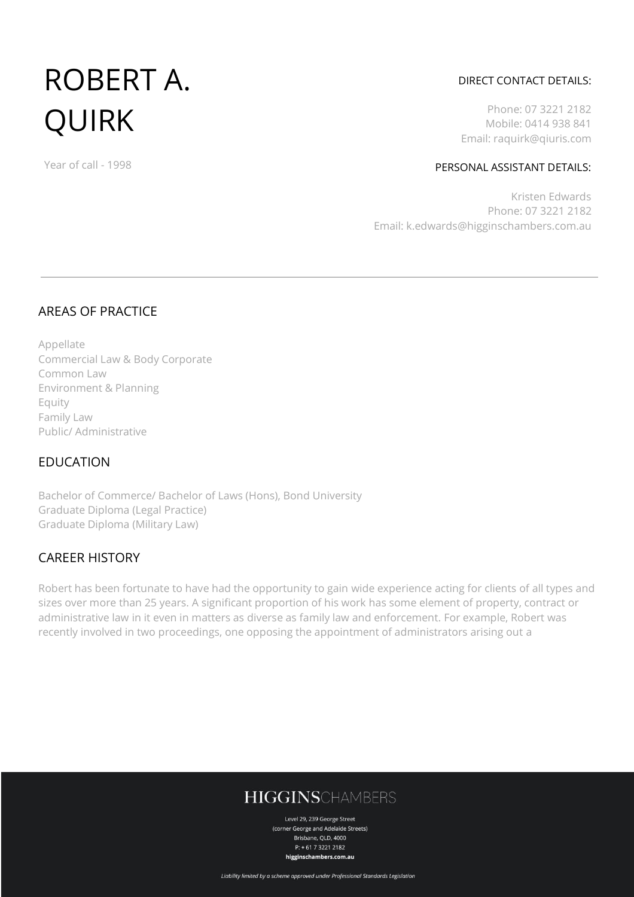# ROBERT A. QUIRK

Year of call - 1998

### DIRECT CONTACT DETAILS:

Phone: 07 3221 2182 Mobile: 0414 938 841 Email: raquirk@qiuris.com

#### PERSONAL ASSISTANT DETAILS:

Kristen Edwards Phone: 07 3221 2182 Email: k.edwards@higginschambers.com.au

## AREAS OF PRACTICE

Appellate Commercial Law & Body Corporate Common Law Environment & Planning Equity Family Law Public/ Administrative

## EDUCATION

Bachelor of Commerce/ Bachelor of Laws (Hons), Bond University Graduate Diploma (Legal Practice) Graduate Diploma (Military Law)

## CAREER HISTORY

Robert has been fortunate to have had the opportunity to gain wide experience acting for clients of all types and sizes over more than 25 years. A significant proportion of his work has some element of property, contract or administrative law in it even in matters as diverse as family law and enforcement. For example, Robert was recently involved in two proceedings, one opposing the appointment of administrators arising out a

# **HIGGINSCHAMBERS**

Level 29, 239 George Street (corner George and Adelaide Streets) Brisbane, QLD, 4000  $P: +61732212182$ higginschambers.com.au

Liability limited by a scheme approved under Professional Standards Legislation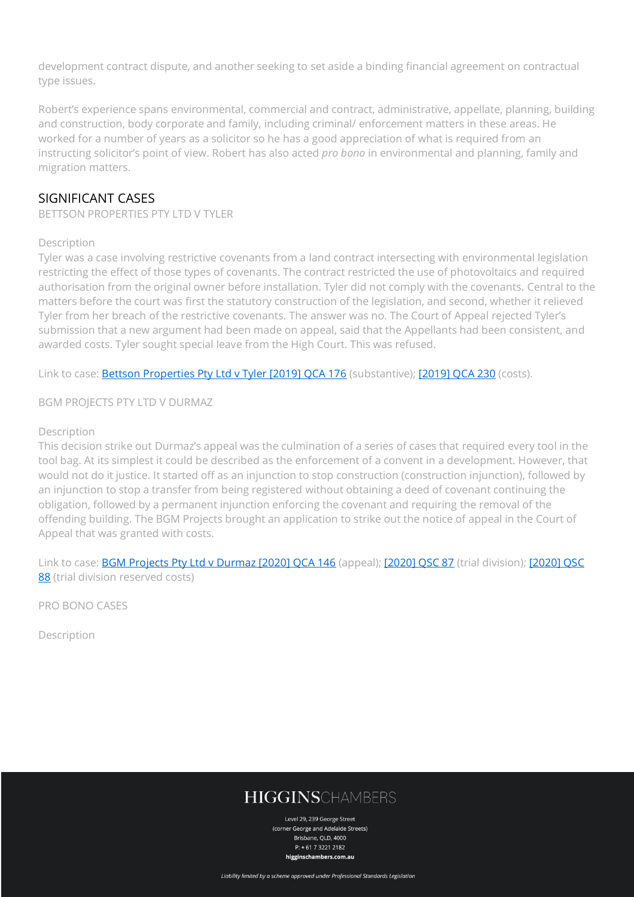development contract dispute, and another seeking to set aside a binding financial agreement on contractual type issues.

Robert's experience spans environmental, commercial and contract, administrative, appellate, planning, building and construction, body corporate and family, including criminal/ enforcement matters in these areas. He worked for a number of years as a solicitor so he has a good appreciation of what is required from an instructing solicitor's point of view. Robert has also acted *pro bono* in environmental and planning, family and migration matters.

## SIGNIFICANT CASES

BETTSON PROPERTIES PTY LTD V TYLER

#### Description

Tyler was a case involving restrictive covenants from a land contract intersecting with environmental legislation restricting the effect of those types of covenants. The contract restricted the use of photovoltaics and required authorisation from the original owner before installation. Tyler did not comply with the covenants. Central to the matters before the court was first the statutory construction of the legislation, and second, whether it relieved Tyler from her breach of the restrictive covenants. The answer was no. The Court of Appeal rejected Tyler's submission that a new argument had been made on appeal, said that the Appellants had been consistent, and awarded costs. Tyler sought special leave from the High Court. This was refused.

Link to case: [Bettson Properties Pty Ltd v Tyler \[2019\] QCA 176](http://www.austlii.edu.au/cgi-bin/viewdoc/au/cases/qld/QCA/2019/176.html?context=1;query=Tyler%20v%20bettson;mask_path=) (substantive); [\[2019\] QCA 230](http://www.austlii.edu.au/cgi-bin/viewdoc/au/cases/qld/QCA/2019/230.html?context=1;query=Tyler%20v%20bettson;mask_path=) (costs).

BGM PROJECTS PTY LTD V DURMAZ

#### Description

This decision strike out Durmaz's appeal was the culmination of a series of cases that required every tool in the tool bag. At its simplest it could be described as the enforcement of a convent in a development. However, that would not do it justice. It started off as an injunction to stop construction (construction injunction), followed by an injunction to stop a transfer from being registered without obtaining a deed of covenant continuing the obligation, followed by a permanent injunction enforcing the covenant and requiring the removal of the offending building. The BGM Projects brought an application to strike out the notice of appeal in the Court of Appeal that was granted with costs.

Link to case: [BGM Projects Pty Ltd v Durmaz \[2020\] QCA 146](http://www.austlii.edu.au/cgi-bin/viewdoc/au/cases/qld/QCA/2020/146.html?context=1;query=Durmaz;mask_path=au/cases/qld/QSC+au/cases/qld/QCA+au/cases/qld/QDC+au/cases/qld/QChC+au/cases/qld/QChCM+au/cases/qld/ICQ+au/cases/qld/QIC+au/cases/qld/QLC+au/cases/qld/QLAC+au/cases/qld/QMC+au/cases/qld/QMHC+au/cases/qld/QPEC+au/cases/qld/QADT+au/cases/qld/QLRT+au/cases/qld/QBT+au/cases/qld/QBCCMCmr+au/cases/qld/QCST+au/cases/qld/QCAT+au/cases/qld/QCATA+au/cases/qld/QCCTA+au/cases/qld/QCCTBCCM+au/cases/qld/QCCTB+au/cases/qld/QCCTE+au/cases/qld/QCCTG+au/cases/qld/QCCTL+au/cases/qld/QCCTMH+au/cases/qld/QCCTPD+au/cases/qld/QCCTPAMD+au/cases/qld/QCCTRV+au/cases/qld/QGAAT+au/cases/qld/QldIndGaz+au/cases/qld/QIRComm+au/cases/qld/QIRC+au/cases/qld/QICmr+au/cases/qld/QLPT+au/cases/qld/QLAT+au/cases/qld/QMW+au/cases/qld/QNT+au/cases/qld/QPAMDT+au/cases/qld/QRAA+au/cases/qld/QRVT+au/cases/qld/QRAT+au/legis/qld/consol_act+au/legis/qld/num_act+au/legis/qld/hist_act+au/legis/qld/repealed_act+au/legis/qld/consol_reg+au/legis/qld/consol_reg+au/legis/qld/num_reg+au/legis/qld/repealed_reg+au/legis/qld/bill+au/legis/qld/bill_en+au/other/QldOmbIRp) (appeal); [\[2020\] QSC 87](http://www.austlii.edu.au/cgi-bin/viewdoc/au/cases/qld/QSC/2020/87.html) (trial division); [2020] QSC [88](http://www.austlii.edu.au/cgi-bin/viewdoc/au/cases/qld/QSC/2020/88.html?context=1;query=Durmaz;mask_path=au/cases/qld/QSC) (trial division reserved costs)

PRO BONO CASES

Description

# **HIGGINSCHAMBERS**

Level 29, 239 George Street (corner George and Adelaide Streets) Brishane, OLD, 4000  $P: +61732212182$ higginschambers.com.au